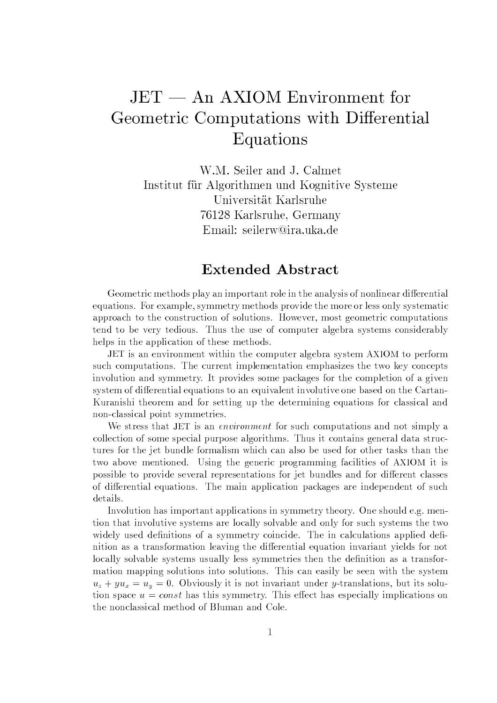## $JET - An AXIOM Environment for$ Geometric Computations with Differential Equations

W.M. Seiler and J. Calmet Institut für Algorithmen und Kognitive Systeme Universität Karlsruhe 76128 Karlsruhe, Germany Email: seilerw@ira.uka.de

## **Extended Abstract**

Geometric methods play an important role in the analysis of nonlinear differential equations. For example, symmetry methods provide the more or less only systematic approach to the construction of solutions. However, most geometric computations tend to be very tedious. Thus the use of computer algebra systems considerably helps in the application of these methods.

JET is an environment within the computer algebra system AXIOM to perform such computations. The current implementation emphasizes the two key concepts involution and symmetry. It provides some packages for the completion of a given system of differential equations to an equivalent involutive one based on the Cartan-Kuranishi theorem and for setting up the determining equations for classical and non-classical point symmetries.

We stress that JET is an *environment* for such computations and not simply a collection of some special purpose algorithms. Thus it contains general data structures for the jet bundle formalism which can also be used for other tasks than the two above mentioned. Using the generic programming facilities of AXIOM it is possible to provide several representations for jet bundles and for different classes of differential equations. The main application packages are independent of such details.

Involution has important applications in symmetry theory. One should e.g. mention that involutive systems are locally solvable and only for such systems the two widely used definitions of a symmetry coincide. The in calculations applied definition as a transformation leaving the differential equation invariant yields for not locally solvable systems usually less symmetries then the definition as a transformation mapping solutions into solutions. This can easily be seen with the system  $u_z + yu_x = u_y = 0$ . Obviously it is not invariant under y-translations, but its solution space  $u = const$  has this symmetry. This effect has especially implications on the nonclassical method of Bluman and Cole.